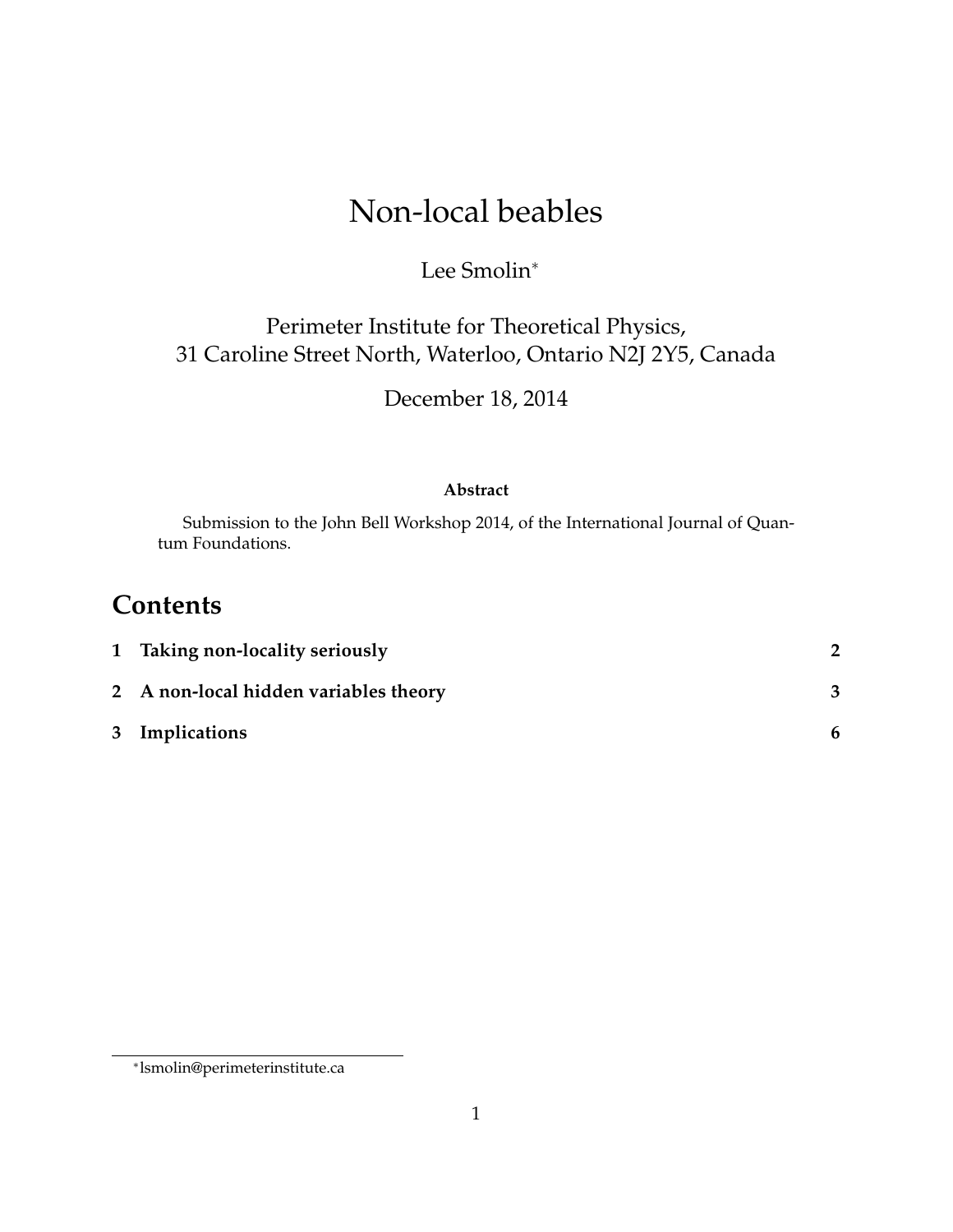# Non-local beables

### Lee Smolin<sup>∗</sup>

### Perimeter Institute for Theoretical Physics, 31 Caroline Street North, Waterloo, Ontario N2J 2Y5, Canada

December 18, 2014

#### **Abstract**

Submission to the John Bell Workshop 2014, of the International Journal of Quantum Foundations.

## **Contents**

| 1 Taking non-locality seriously       |  |
|---------------------------------------|--|
| 2 A non-local hidden variables theory |  |
| 3 Implications                        |  |

<sup>∗</sup> lsmolin@perimeterinstitute.ca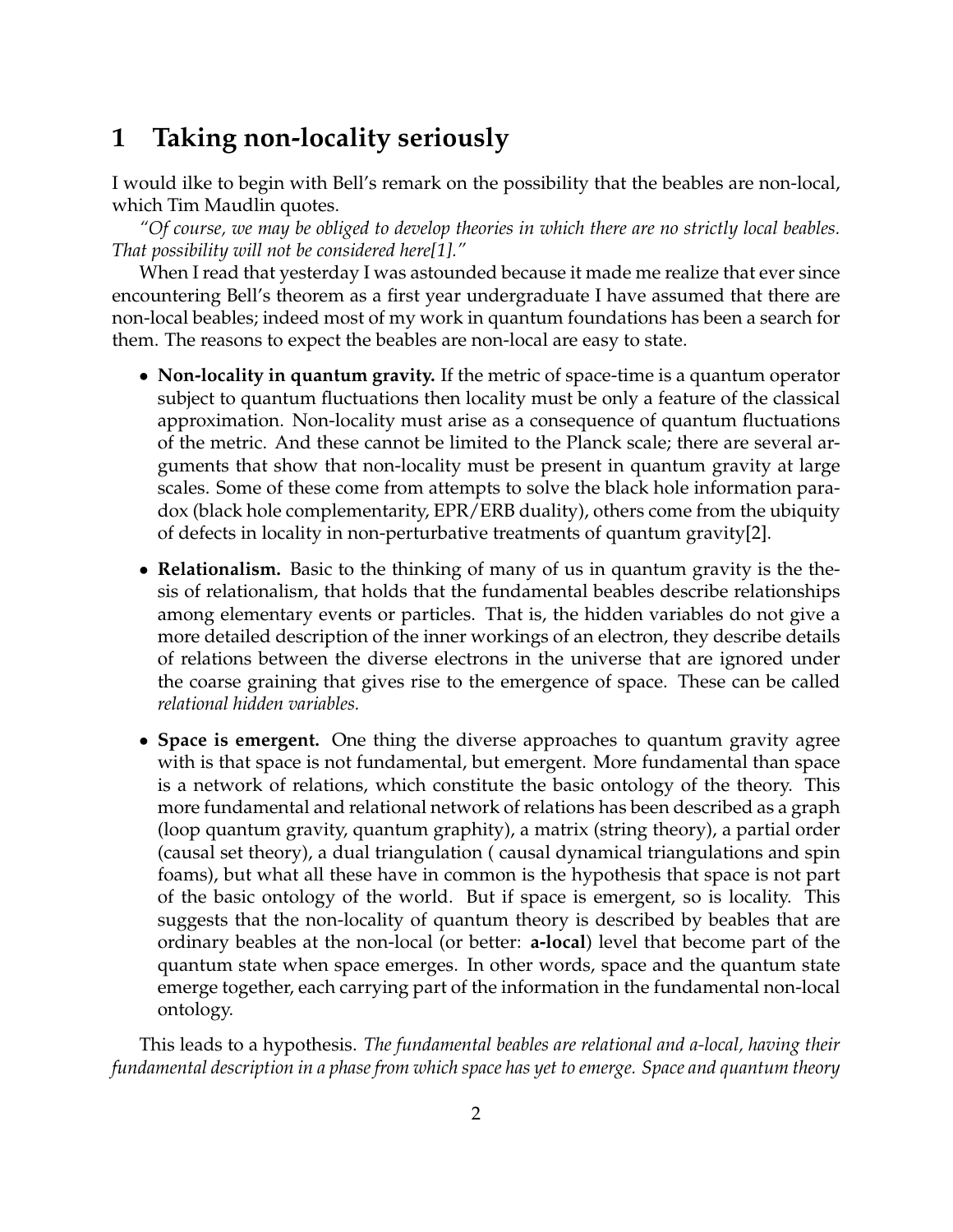### **1 Taking non-locality seriously**

I would ilke to begin with Bell's remark on the possibility that the beables are non-local, which Tim Maudlin quotes.

*"Of course, we may be obliged to develop theories in which there are no strictly local beables. That possibility will not be considered here[1]."*

When I read that yesterday I was astounded because it made me realize that ever since encountering Bell's theorem as a first year undergraduate I have assumed that there are non-local beables; indeed most of my work in quantum foundations has been a search for them. The reasons to expect the beables are non-local are easy to state.

- **Non-locality in quantum gravity.** If the metric of space-time is a quantum operator subject to quantum fluctuations then locality must be only a feature of the classical approximation. Non-locality must arise as a consequence of quantum fluctuations of the metric. And these cannot be limited to the Planck scale; there are several arguments that show that non-locality must be present in quantum gravity at large scales. Some of these come from attempts to solve the black hole information paradox (black hole complementarity, EPR/ERB duality), others come from the ubiquity of defects in locality in non-perturbative treatments of quantum gravity[2].
- **Relationalism.** Basic to the thinking of many of us in quantum gravity is the thesis of relationalism, that holds that the fundamental beables describe relationships among elementary events or particles. That is, the hidden variables do not give a more detailed description of the inner workings of an electron, they describe details of relations between the diverse electrons in the universe that are ignored under the coarse graining that gives rise to the emergence of space. These can be called *relational hidden variables.*
- **Space is emergent.** One thing the diverse approaches to quantum gravity agree with is that space is not fundamental, but emergent. More fundamental than space is a network of relations, which constitute the basic ontology of the theory. This more fundamental and relational network of relations has been described as a graph (loop quantum gravity, quantum graphity), a matrix (string theory), a partial order (causal set theory), a dual triangulation ( causal dynamical triangulations and spin foams), but what all these have in common is the hypothesis that space is not part of the basic ontology of the world. But if space is emergent, so is locality. This suggests that the non-locality of quantum theory is described by beables that are ordinary beables at the non-local (or better: **a-local**) level that become part of the quantum state when space emerges. In other words, space and the quantum state emerge together, each carrying part of the information in the fundamental non-local ontology.

This leads to a hypothesis. *The fundamental beables are relational and a-local, having their fundamental description in a phase from which space has yet to emerge. Space and quantum theory*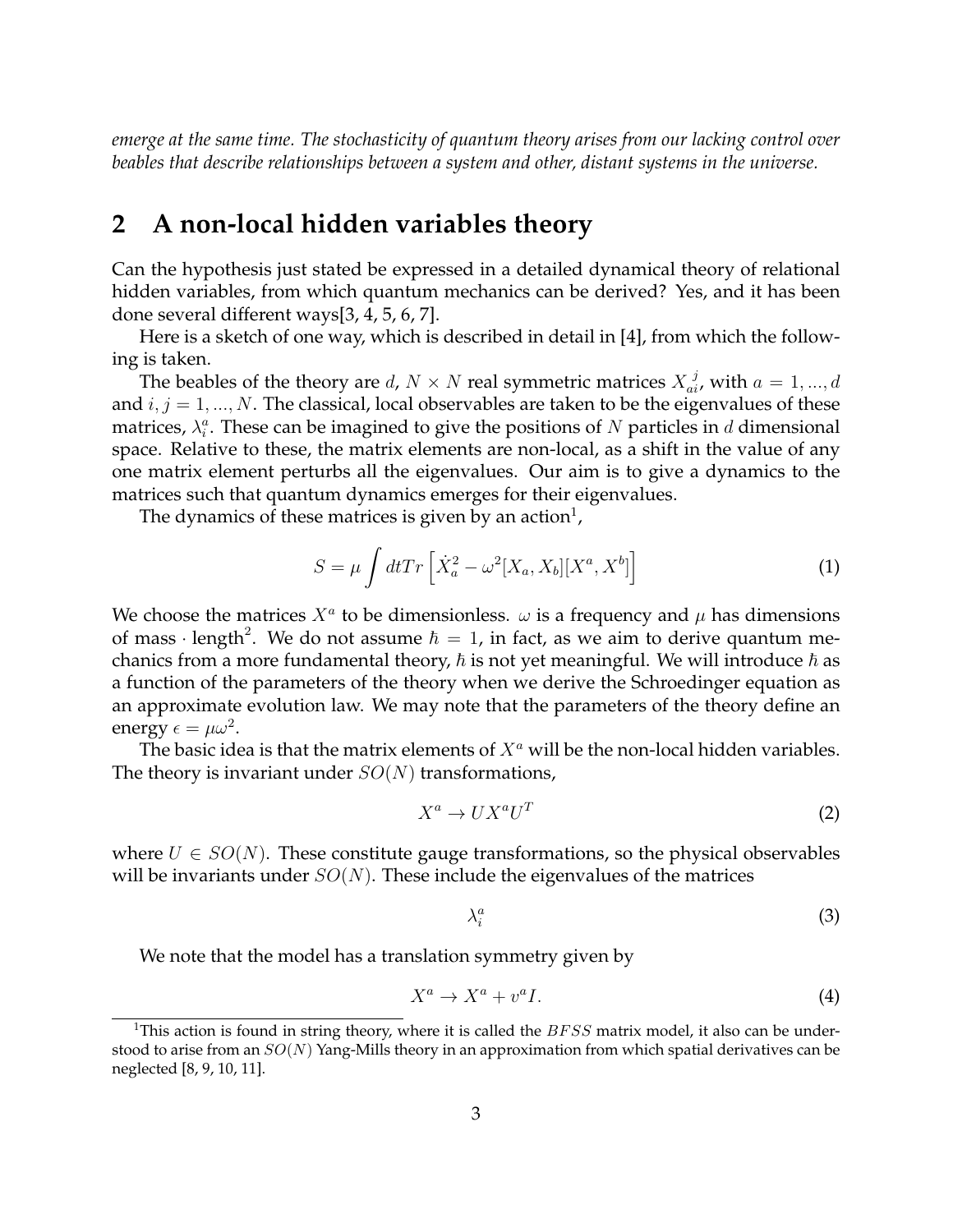*emerge at the same time. The stochasticity of quantum theory arises from our lacking control over beables that describe relationships between a system and other, distant systems in the universe.*

### **2 A non-local hidden variables theory**

Can the hypothesis just stated be expressed in a detailed dynamical theory of relational hidden variables, from which quantum mechanics can be derived? Yes, and it has been done several different ways[3, 4, 5, 6, 7].

Here is a sketch of one way, which is described in detail in [4], from which the following is taken.

The beables of the theory are  $d$ ,  $N \times N$  real symmetric matrices  $X_{ai}^{\ j}$ , with  $a = 1,...,d$ and  $i, j = 1, ..., N$ . The classical, local observables are taken to be the eigenvalues of these matrices,  $\lambda_i^a$ . These can be imagined to give the positions of N particles in d dimensional space. Relative to these, the matrix elements are non-local, as a shift in the value of any one matrix element perturbs all the eigenvalues. Our aim is to give a dynamics to the matrices such that quantum dynamics emerges for their eigenvalues.

The dynamics of these matrices is given by an action $^{\rm l}$ ,

$$
S = \mu \int dt Tr \left[ \dot{X}_a^2 - \omega^2 [X_a, X_b] [X^a, X^b] \right]
$$
 (1)

We choose the matrices  $X^a$  to be dimensionless.  $\omega$  is a frequency and  $\mu$  has dimensions of mass · length<sup>2</sup>. We do not assume  $\hbar = 1$ , in fact, as we aim to derive quantum mechanics from a more fundamental theory,  $\hbar$  is not yet meaningful. We will introduce  $\hbar$  as a function of the parameters of the theory when we derive the Schroedinger equation as an approximate evolution law. We may note that the parameters of the theory define an energy  $\epsilon = \mu \omega^2$ .

The basic idea is that the matrix elements of  $X^a$  will be the non-local hidden variables. The theory is invariant under  $SO(N)$  transformations,

$$
X^a \to U X^a U^T \tag{2}
$$

where  $U \in SO(N)$ . These constitute gauge transformations, so the physical observables will be invariants under  $SO(N)$ . These include the eigenvalues of the matrices

$$
\lambda_i^a \tag{3}
$$

We note that the model has a translation symmetry given by

$$
X^a \to X^a + v^a I. \tag{4}
$$

<sup>&</sup>lt;sup>1</sup>This action is found in string theory, where it is called the  $BFSS$  matrix model, it also can be understood to arise from an  $SO(N)$  Yang-Mills theory in an approximation from which spatial derivatives can be neglected [8, 9, 10, 11].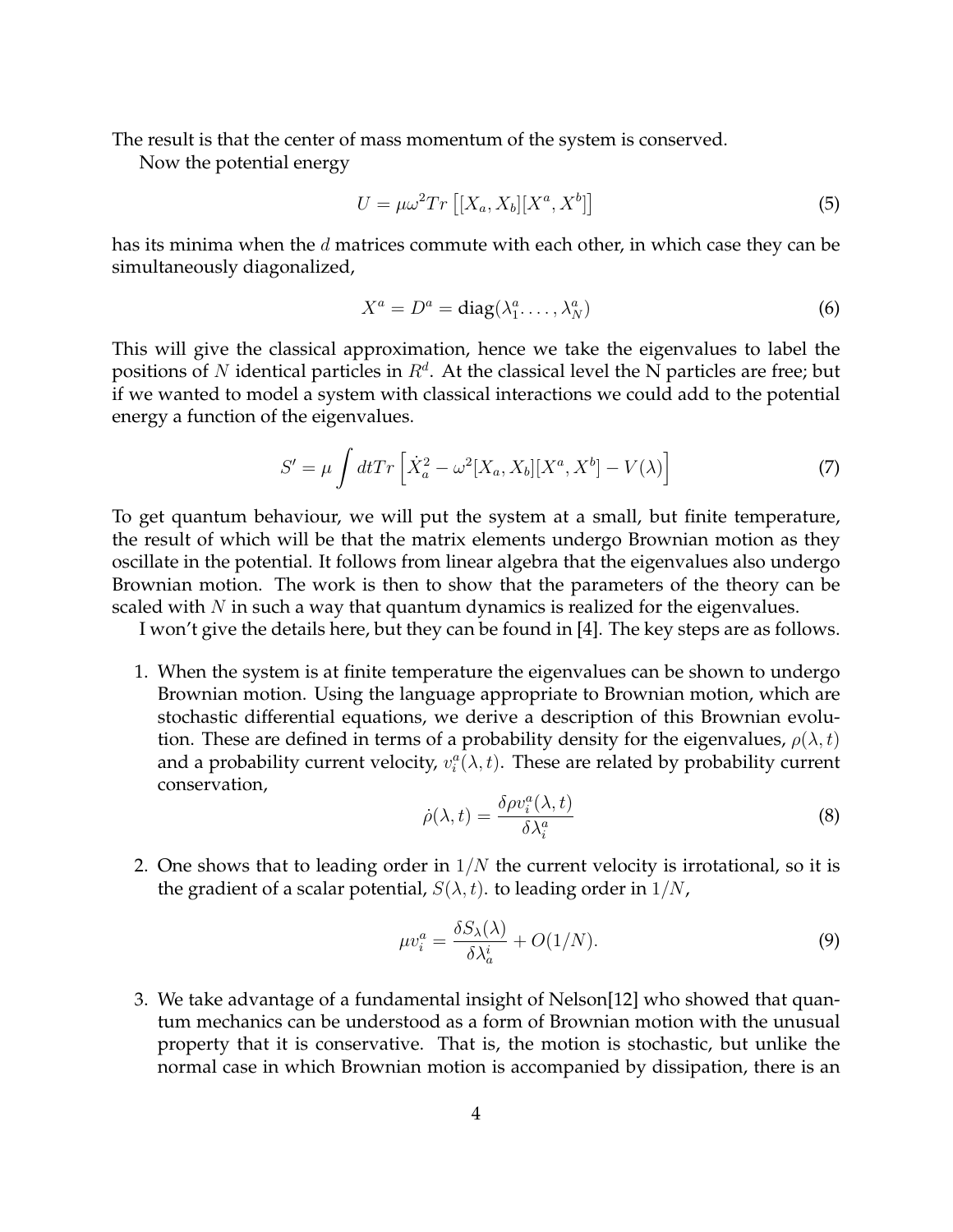The result is that the center of mass momentum of the system is conserved.

Now the potential energy

$$
U = \mu \omega^2 Tr\left[ [X_a, X_b][X^a, X^b] \right] \tag{5}
$$

has its minima when the  $d$  matrices commute with each other, in which case they can be simultaneously diagonalized,

$$
X^{a} = D^{a} = \text{diag}(\lambda_{1}^{a}, \dots, \lambda_{N}^{a})
$$
 (6)

This will give the classical approximation, hence we take the eigenvalues to label the positions of N identical particles in  $R^d$ . At the classical level the N particles are free; but if we wanted to model a system with classical interactions we could add to the potential energy a function of the eigenvalues.

$$
S' = \mu \int dt Tr \left[ \dot{X}_a^2 - \omega^2 [X_a, X_b] [X^a, X^b] - V(\lambda) \right]
$$
 (7)

To get quantum behaviour, we will put the system at a small, but finite temperature, the result of which will be that the matrix elements undergo Brownian motion as they oscillate in the potential. It follows from linear algebra that the eigenvalues also undergo Brownian motion. The work is then to show that the parameters of the theory can be scaled with  $N$  in such a way that quantum dynamics is realized for the eigenvalues.

I won't give the details here, but they can be found in [4]. The key steps are as follows.

1. When the system is at finite temperature the eigenvalues can be shown to undergo Brownian motion. Using the language appropriate to Brownian motion, which are stochastic differential equations, we derive a description of this Brownian evolution. These are defined in terms of a probability density for the eigenvalues,  $\rho(\lambda, t)$ and a probability current velocity,  $v_i^a(\lambda,t)$ . These are related by probability current conservation,

$$
\dot{\rho}(\lambda, t) = \frac{\delta \rho v_i^a(\lambda, t)}{\delta \lambda_i^a} \tag{8}
$$

2. One shows that to leading order in  $1/N$  the current velocity is irrotational, so it is the gradient of a scalar potential,  $S(\lambda, t)$ . to leading order in  $1/N$ ,

$$
\mu v_i^a = \frac{\delta S_\lambda(\lambda)}{\delta \lambda_a^i} + O(1/N). \tag{9}
$$

3. We take advantage of a fundamental insight of Nelson[12] who showed that quantum mechanics can be understood as a form of Brownian motion with the unusual property that it is conservative. That is, the motion is stochastic, but unlike the normal case in which Brownian motion is accompanied by dissipation, there is an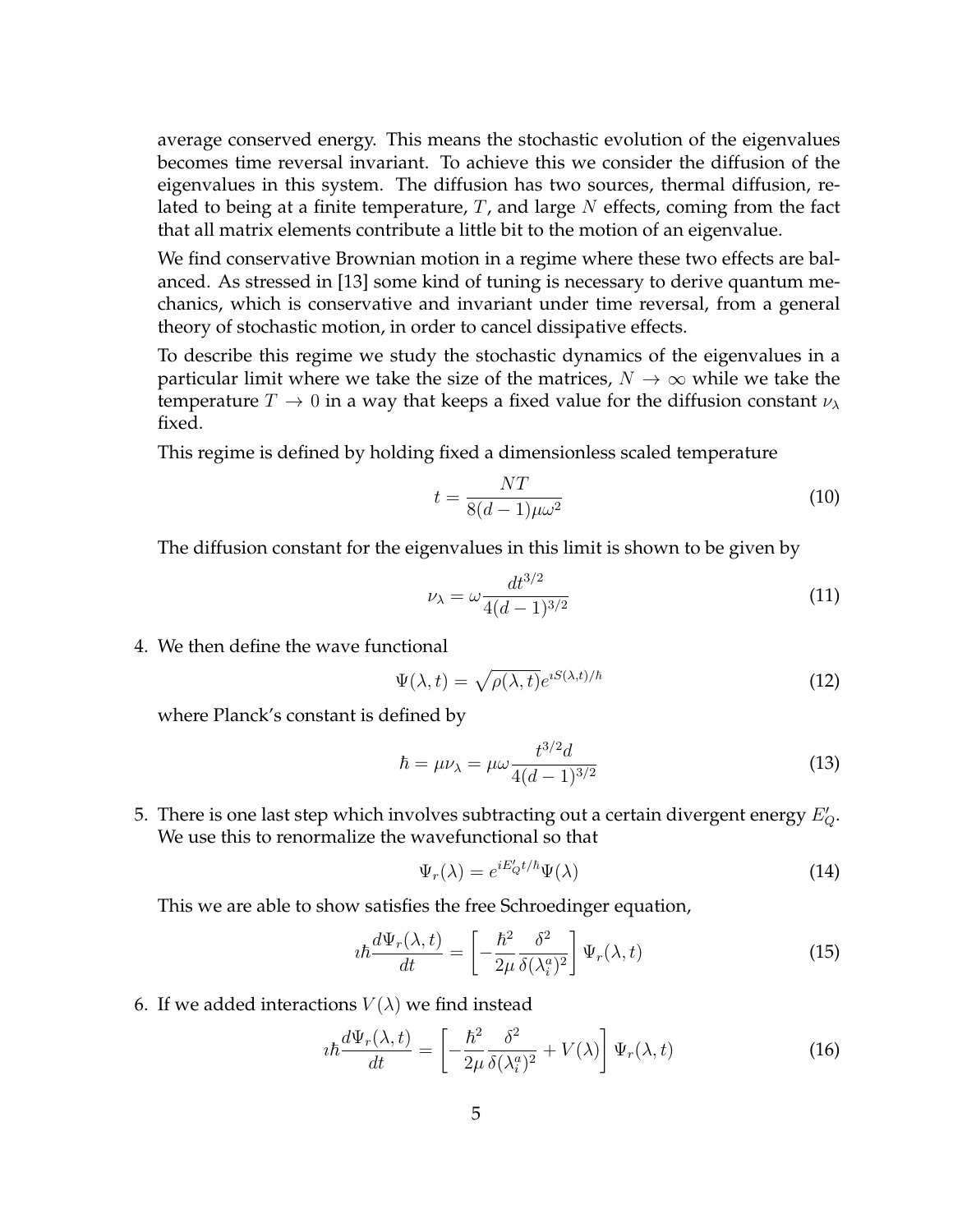average conserved energy. This means the stochastic evolution of the eigenvalues becomes time reversal invariant. To achieve this we consider the diffusion of the eigenvalues in this system. The diffusion has two sources, thermal diffusion, related to being at a finite temperature,  $T$ , and large  $N$  effects, coming from the fact that all matrix elements contribute a little bit to the motion of an eigenvalue.

We find conservative Brownian motion in a regime where these two effects are balanced. As stressed in [13] some kind of tuning is necessary to derive quantum mechanics, which is conservative and invariant under time reversal, from a general theory of stochastic motion, in order to cancel dissipative effects.

To describe this regime we study the stochastic dynamics of the eigenvalues in a particular limit where we take the size of the matrices,  $N \to \infty$  while we take the temperature  $T \to 0$  in a way that keeps a fixed value for the diffusion constant  $\nu_{\lambda}$ fixed.

This regime is defined by holding fixed a dimensionless scaled temperature

$$
t = \frac{NT}{8(d-1)\mu\omega^2} \tag{10}
$$

The diffusion constant for the eigenvalues in this limit is shown to be given by

$$
\nu_{\lambda} = \omega \frac{dt^{3/2}}{4(d-1)^{3/2}} \tag{11}
$$

4. We then define the wave functional

$$
\Psi(\lambda, t) = \sqrt{\rho(\lambda, t)} e^{iS(\lambda, t)/\hbar}
$$
\n(12)

where Planck's constant is defined by

$$
\hbar = \mu \nu_{\lambda} = \mu \omega \frac{t^{3/2} d}{4(d-1)^{3/2}} \tag{13}
$$

5. There is one last step which involves subtracting out a certain divergent energy  $E_Q^{\prime}$ . We use this to renormalize the wavefunctional so that

$$
\Psi_r(\lambda) = e^{iE'_Q t/\hbar} \Psi(\lambda)
$$
\n(14)

This we are able to show satisfies the free Schroedinger equation,

$$
i\hbar \frac{d\Psi_r(\lambda, t)}{dt} = \left[ -\frac{\hbar^2}{2\mu} \frac{\delta^2}{\delta(\lambda_i^a)^2} \right] \Psi_r(\lambda, t)
$$
 (15)

6. If we added interactions  $V(\lambda)$  we find instead

$$
i\hbar \frac{d\Psi_r(\lambda, t)}{dt} = \left[ -\frac{\hbar^2}{2\mu} \frac{\delta^2}{\delta(\lambda_i^a)^2} + V(\lambda) \right] \Psi_r(\lambda, t)
$$
 (16)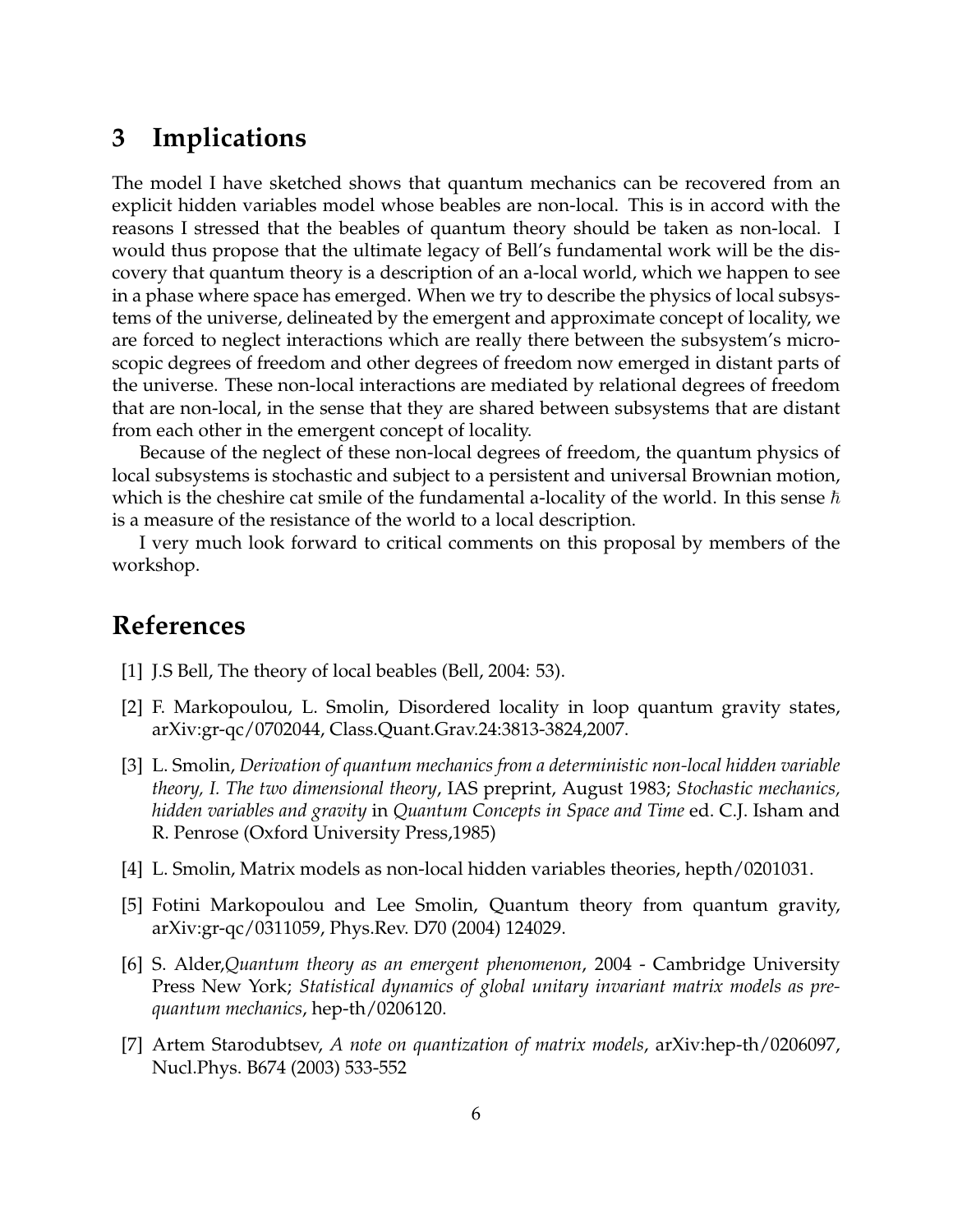### **3 Implications**

The model I have sketched shows that quantum mechanics can be recovered from an explicit hidden variables model whose beables are non-local. This is in accord with the reasons I stressed that the beables of quantum theory should be taken as non-local. I would thus propose that the ultimate legacy of Bell's fundamental work will be the discovery that quantum theory is a description of an a-local world, which we happen to see in a phase where space has emerged. When we try to describe the physics of local subsystems of the universe, delineated by the emergent and approximate concept of locality, we are forced to neglect interactions which are really there between the subsystem's microscopic degrees of freedom and other degrees of freedom now emerged in distant parts of the universe. These non-local interactions are mediated by relational degrees of freedom that are non-local, in the sense that they are shared between subsystems that are distant from each other in the emergent concept of locality.

Because of the neglect of these non-local degrees of freedom, the quantum physics of local subsystems is stochastic and subject to a persistent and universal Brownian motion, which is the cheshire cat smile of the fundamental a-locality of the world. In this sense  $\hbar$ is a measure of the resistance of the world to a local description.

I very much look forward to critical comments on this proposal by members of the workshop.

### **References**

- [1] J.S Bell, The theory of local beables (Bell, 2004: 53).
- [2] F. Markopoulou, L. Smolin, Disordered locality in loop quantum gravity states, arXiv:gr-qc/0702044, Class.Quant.Grav.24:3813-3824,2007.
- [3] L. Smolin, *Derivation of quantum mechanics from a deterministic non-local hidden variable theory, I. The two dimensional theory*, IAS preprint, August 1983; *Stochastic mechanics, hidden variables and gravity* in *Quantum Concepts in Space and Time* ed. C.J. Isham and R. Penrose (Oxford University Press,1985)
- [4] L. Smolin, Matrix models as non-local hidden variables theories, hepth/0201031.
- [5] Fotini Markopoulou and Lee Smolin, Quantum theory from quantum gravity, arXiv:gr-qc/0311059, Phys.Rev. D70 (2004) 124029.
- [6] S. Alder,*Quantum theory as an emergent phenomenon*, 2004 Cambridge University Press New York; *Statistical dynamics of global unitary invariant matrix models as prequantum mechanics*, hep-th/0206120.
- [7] Artem Starodubtsev, *A note on quantization of matrix models*, arXiv:hep-th/0206097, Nucl.Phys. B674 (2003) 533-552